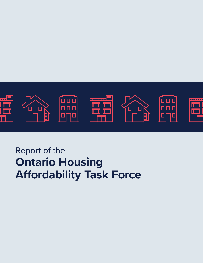

# Report of the **Ontario Housing Affordability Task Force**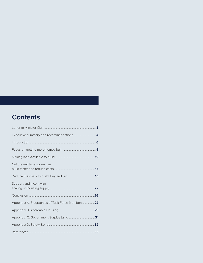## **Contents**

| Cut the red tape so we can                      |  |
|-------------------------------------------------|--|
|                                                 |  |
| Support and incentivize                         |  |
|                                                 |  |
| Appendix A: Biographies of Task Force Members27 |  |
|                                                 |  |
|                                                 |  |
|                                                 |  |
|                                                 |  |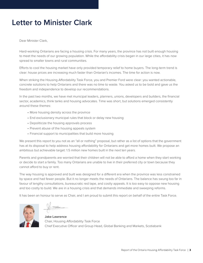## <span id="page-2-0"></span>**Letter to Minister Clark**

Dear Minister Clark,

Hard-working Ontarians are facing a housing crisis. For many years, the province has not built enough housing to meet the needs of our growing population. While the affordability crisis began in our large cities, it has now spread to smaller towns and rural communities.

Efforts to cool the housing market have only provided temporary relief to home buyers. The long-term trend is clear: house prices are increasing much faster than Ontarian's incomes. The time for action is now.

When striking the Housing Affordability Task Force, you and Premier Ford were clear: you wanted actionable, concrete solutions to help Ontarians and there was no time to waste. You asked us to be bold and gave us the freedom and independence to develop our recommendations.

In the past two months, we have met municipal leaders, planners, unions, developers and builders, the financial sector, academics, think tanks and housing advocates. Time was short, but solutions emerged consistently around these themes:

- More housing density across the province
- End exclusionary municipal rules that block or delay new housing
- Depoliticize the housing approvals process
- Prevent abuse of the housing appeals system
- Financial support to municipalities that build more housing

We present this report to you not as an "all or nothing" proposal, but rather as a list of options that the government has at its disposal to help address housing affordability for Ontarians and get more homes built. We propose an ambitious but achievable target: 1.5 million new homes built in the next ten years.

Parents and grandparents are worried that their children will not be able to afford a home when they start working or decide to start a family. Too many Ontarians are unable to live in their preferred city or town because they cannot afford to buy or rent.

The way housing is approved and built was designed for a different era when the province was less constrained by space and had fewer people. But it no longer meets the needs of Ontarians. The balance has swung too far in favour of lengthy consultations, bureaucratic red tape, and costly appeals. It is too easy to oppose new housing and too costly to build. We are in a housing crisis and that demands immediate and sweeping reforms.

It has been an honour to serve as Chair, and I am proud to submit this report on behalf of the entire Task Force.



**Jake Lawrence** Chair, Housing Affordability Task Force Chief Executive Officer and Group Head, Global Banking and Markets, Scotiabank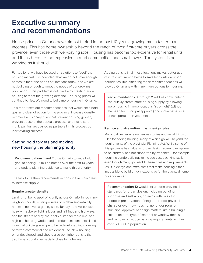## <span id="page-3-0"></span>**Executive summary and recommendations**

House prices in Ontario have almost tripled in the past 10 years, growing much faster than incomes. This has home ownership beyond the reach of most first-time buyers across the province, even those with well-paying jobs. Housing has become too expensive for rental units and it has become too expensive in rural communities and small towns. The system is not working as it should.

For too long, we have focused on solutions to "cool" the housing market. It is now clear that we do not have enough homes to meet the needs of Ontarians today, and we are not building enough to meet the needs of our growing population. If this problem is not fixed – by creating more housing to meet the growing demand – housing prices will continue to rise. We need to build more housing in Ontario.

This report sets out recommendations that would set a bold goal and clear direction for the province, increase density, remove exclusionary rules that prevent housing growth, prevent abuse of the appeals process, and make sure municipalities are treated as partners in this process by incentivizing success.

### Setting bold targets and making new housing the planning priority

Recommendations 1 and 2 urge Ontario to set a bold goal of adding 1.5 million homes over the next 10 years and update planning guidance to make this a priority.

The task force then recommends actions in five main areas to increase supply:

#### **Require greater density**

Land is not being used efficiently across Ontario. In too many neighbourhoods, municipal rules only allow single-family homes – not even a granny suite. Taxpayers have invested heavily in subway, light rail, bus and rail lines and highways, and the streets nearby are ideally suited for more mid- and high-rise housing. Underused or redundant commercial and industrial buildings are ripe to be redeveloped into housing or mixed commercial and residential use. New housing on undeveloped land should also be higher density than traditional suburbs, especially close to highways.

Adding density in all these locations makes better use of infrastructure and helps to save land outside urban boundaries. Implementing these recommendations will provide Ontarians with many more options for housing.

Recommendations 3 through 11 address how Ontario can quickly create more housing supply by allowing more housing in more locations "as of right" (without the need for municipal approval) and make better use of transportation investments.

#### **Reduce and streamline urban design rules**

Municipalities require numerous studies and set all kinds of rules for adding housing, many of which go well beyond the requirements of the provincial Planning Act. While some of this guidance has value for urban design, some rules appear to be arbitrary and not supported by evidence – for example, requiring condo buildings to include costly parking stalls even though many go unsold. These rules and requirements result in delays and extra costs that make housing either impossible to build or very expensive for the eventual home buyer or renter.

Recommendation 12 would set uniform provincial standards for urban design, including building shadows and setbacks, do away with rules that prioritize preservation of neighbourhood physical character over new housing, no longer require municipal approval of design matters like a building's colour, texture, type of material or window details, and remove or reduce parking requirements in cities over 50,000 in population.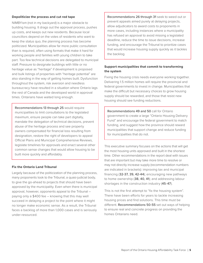#### **Depoliticize the process and cut red tape**

NIMBYism (not in my backyard) is a major obstacle to building housing. It drags out the approval process, pushes up costs, and keeps out new residents. Because local councillors depend on the votes of residents who want to keep the status quo, the planning process has become politicized. Municipalities allow far more public consultation than is required, often using formats that make it hard for working people and families with young children to take part. Too few technical decisions are delegated to municipal staff. Pressure to designate buildings with little or no heritage value as "heritage" if development is proposed and bulk listings of properties with "heritage potential" are also standing in the way of getting homes built. Dysfunction throughout the system, risk aversion and needless bureaucracy have resulted in a situation where Ontario lags the rest of Canada and the developed world in approval times. Ontarians have waited long enough.

Recommendations 13 through 25 would require municipalities to limit consultations to the legislated maximum, ensure people can take part digitally, mandate the delegation of technical decisions, prevent abuse of the heritage process and see property owners compensated for financial loss resulting from designation, restore the right of developers to appeal Official Plans and Municipal Comprehensive Reviews, legislate timelines for approvals and enact several other common sense changes that would allow housing to be built more quickly and affordably.

#### **Fix the Ontario Land Tribunal**

Largely because of the politicization of the planning process, many proponents look to the Tribunal, a quasi-judicial body, to give the go-ahead to projects that should have been approved by the municipality. Even when there is municipal approval, however, opponents appeal to the Tribunal – paying only a \$400 fee – knowing that this may well succeed in delaying a project to the point where it might no longer make economic sense. As a result, the Tribunal faces a backlog of more than 1,000 cases and is seriously under-resourced.

Recommendations 26 through 31 seek to weed out or prevent appeals aimed purely at delaying projects, allow adjudicators to award costs to proponents in more cases, including instances where a municipality has refused an approval to avoid missing a legislated deadline, reduce the time to issue decisions, increase funding, and encourage the Tribunal to prioritize cases that would increase housing supply quickly as it tackles the backlog.

#### **Support municipalities that commit to transforming the system**

Fixing the housing crisis needs everyone working together. Delivering 1.5 million homes will require the provincial and federal governments to invest in change. Municipalities that make the difficult but necessary choices to grow housing supply should be rewarded, and those that resist new housing should see funding reductions.

Recommendations 49 and 50 call for Ontario government to create a large "Ontario Housing Delivery Fund" and encourage the federal government to match funding, and suggest how the province should reward municipalities that support change and reduce funding for municipalities that do not.

This executive summary focuses on the actions that will get the most housing units approved and built in the shortest time. Other recommendations in the report deal with issues that are important but may take more time to resolve or may not directly increase supply (recommendation numbers are indicated in brackets): improving tax and municipal financing (32-37, 39, 42-44); encouraging new pathways to home ownership (38, 40, 41); and addressing labour shortages in the construction industry (45-47).

This is not the first attempt to "fix the housing system". There have been efforts for years to tackle increasing housing prices and find solutions. This time must be different. Recommendations 50-55 set out ways of helping to ensure real and concrete progress on providing the homes Ontarians need.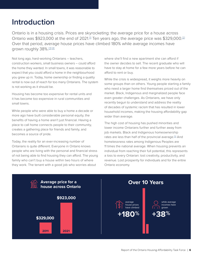## <span id="page-5-0"></span>**Introduction**

Ontario is in a housing crisis. Prices are skyrocketing: the average price for a house across Ontario was \$9[2](https://www.globalpropertyguide.com/North-America/Canada/Price-History-Archive/canadian-housing-market-strong-127030)3,000 at the end of 2021.<sup> $II$ </sup> Ten years ago, the average price was \$329,000.<sup>[2]</sup> Over that period, average house prices have climbed 180% while average incomes have grown roughly [3](https://www.fin.gov.on.ca/en/economy/demographics/census/nhshi11-6.html#:~:text=Median%20After%2Dtax%20Income%20of,and%20British%20Columbia%20at%20%2467%2C900)8%.[3][\[4](https://www03.cmhc-schl.gc.ca/hmip-pimh/en/TableMapChart/TableMatchingCriteria?GeographyType=Province&GeographyId=35&CategoryLevel1=Population,%20Households%20and%20Housing%20Stock&CategoryLevel2=Household%20Income&ColumnField=HouseholdIncomeRange&RowField=MetropolitanMajorArea&SearchTags%5b0%5d.Key=Households&SearchTags%5b0%5d.Value=Number&SearchTags%5b1%5d.Key=Statistics&SearchTags%5b1%5d.Value=AverageAndMedian)]

Not long ago, hard-working Ontarians – teachers, construction workers, small business owners – could afford the home they wanted. In small towns, it was reasonable to expect that you could afford a home in the neighbourhood you grew up in. Today, home ownership or finding a quality rental is now out of reach for too many Ontarians. The system is not working as it should be.

Housing has become too expensive for rental units and it has become too expensive in rural communities and small towns.

While people who were able to buy a home a decade or more ago have built considerable personal equity, the benefits of having a home aren't just financial. Having a place to call home connects people to their community, creates a gathering place for friends and family, and becomes a source of pride.

Today, the reality for an ever-increasing number of Ontarians is quite different. Everyone in Ontario knows people who are living with the personal and financial stress of not being able to find housing they can afford. The young family who can't buy a house within two hours of where they work. The tenant with a good job who worries about

where she'll find a new apartment she can afford if the owner decides to sell. The recent graduate who will have to stay at home for a few more years before he can afford to rent or buy.

While the crisis is widespread, it weighs more heavily on some groups than on others. Young people starting a family who need a larger home find themselves priced out of the market. Black, Indigenous and marginalized people face even greater challenges. As Ontarians, we have only recently begun to understand and address the reality of decades of systemic racism that has resulted in lower household incomes, making the housing affordability gap wider than average.

The high cost of housing has pushed minorities and lower income Ontarians further and further away from job markets. Black and Indigenous homeownership rates are less than half of the provincial average.[\[5\]](https://www.theglobeandmail.com/business/article-black-canadians-have-some-of-the-lowest-home-ownership-rates-in-canada/) And homelessness rates among Indigenous Peoples are 11 times the national average. When housing prevents an individual from reaching their full potential, this represents a loss to every Ontarian: lost creativity, productivity, and revenue. Lost prosperity for individuals and for the entire Ontario economy.

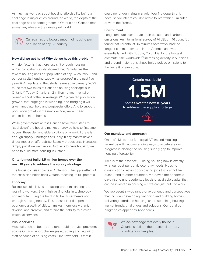As much as we read about housing affordability being a challenge in major cities around the world, the depth of the challenge has become greater in Ontario and Canada than almost anywhere in the developed world.



Canada has the lowest amount of housing per population of any G7 country.

#### **How did we get here? Why do we have this problem?**

A major factor is that there just isn't enough housing. A 2021 Scotiabank study showed that Canada has the fewest housing units per population of any G7 country – and, our per capita housing supply has dropped in the past five years.[\[6\]](https://www.scotiabank.com/ca/en/about/economics/economics-publications/post.other-publications.housing.housing-note.housing-note--may-12-2021-.html) An update to that study released in January 2022 found that two thirds of Canada's housing shortage is in Ontario.<sup>[2]</sup> Today, Ontario is 1.2 million homes – rental or owned – short of the G7 average. With projected population growth, that huge gap is widening, and bridging it will take immediate, bold and purposeful effort. And to support population growth in the next decade, we will need one million more homes.

While governments across Canada have taken steps to "cool down" the housing market or provide help to first-time buyers, these demand-side solutions only work if there is enough supply. Shortages of supply in any market have a direct impact on affordability. Scarcity breeds price increases. Simply put, if we want more Ontarians to have housing, we need to build more housing in Ontario.

#### **Ontario must build 1.5 million homes over the next 10 years to address the supply shortage**

The housing crisis impacts all Ontarians. The ripple effect of the crisis also holds back Ontario reaching its full potential.

#### Economy

Businesses of all sizes are facing problems finding and retaining workers. Even high-paying jobs in technology and manufacturing are hard to fill because there's not enough housing nearby. This doesn't just dampen the economic growth of cities, it makes them less vibrant, diverse, and creative, and strains their ability to provide essential services.

#### Public services

Hospitals, school boards and other public service providers across Ontario report challenges attracting and retaining staff because of housing costs. One town told us that it

could no longer maintain a volunteer fire department, because volunteers couldn't afford to live within 10 minutes drive of the firehall.

#### Environment

Long commutes contribute to air pollution and carbon emissions. An international survey of 74 cities in 16 countries found that Toronto, at 96 minutes both ways, had the longest commute times in North America and was essentially tied with Bogota, Colombia, for the longest commute time worldwide.<sup>[\[8\]](https://www.expertmarket.co.uk/vehicle-tracking/best-and-worst-cities-for-commuting)</sup> Increasing density in our cities and around major transit hubs helps reduce emissions to the benefit of everyone.



#### **Our mandate and approach**

Ontario's Minister of Municipal Affairs and Housing tasked us with recommending ways to accelerate our progress in closing the housing supply gap to improve housing affordability.

Time is of the essence. Building housing now is exactly what our post-pandemic economy needs. Housing construction creates good-paying jobs that cannot be outsourced to other countries. Moreover, the pandemic gave rise to unprecedented levels of available capital that can be invested in housing – if we can just put it to work.

We represent a wide range of experience and perspectives that includes developing, financing and building homes, delivering affordable housing, and researching housing market trends, challenges and solutions. Our detailed biographies appear as [Appendix A](#page-26-0).



We acknowledge that every house in Ontario is built on the traditional territory of Indigenous Peoples.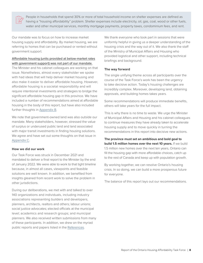People in households that spend 30% or more of total household income on shelter expenses are defined as having a "housing affordability" problem. Shelter expenses include electricity, oil, gas, coal, wood or other fuels, water and other municipal services, monthly mortgage payments, property taxes, condominium fees, and rent.

Our mandate was to focus on how to increase market housing supply and affordability. By market housing, we are referring to homes that can be purchased or rented without government support.

#### Affordable housing (units provided at below-market rates with government support) was not part of our mandate.

The Minister and his cabinet colleagues are working on that issue. Nonetheless, almost every stakeholder we spoke with had ideas that will help deliver market housing and also make it easier to deliver affordable housing. However, affordable housing is a societal responsibility and will require intentional investments and strategies to bridge the significant affordable housing gap in this province. We have included a number of recommendations aimed at affordable housing in the body of this report, but have also included further thoughts in [Appendix B.](#page-28-0)

We note that government-owned land was also outside our mandate. Many stakeholders, however, stressed the value of surplus or underused public land and land associated with major transit investments in finding housing solutions. We agree and have set out some thoughts on that issue in [Appendix C.](#page-30-0)

#### **How we did our work**

Our Task Force was struck in December 2021 and mandated to deliver a final report to the Minister by the end of January 2022. We were able to work to that tight timeline because, in almost all cases, viewpoints and feasible solutions are well known. In addition, we benefited from insights gleaned from recent work to solve the problem in other jurisdictions.

During our deliberations, we met with and talked to over 140 organizations and individuals, including industry associations representing builders and developers, planners, architects, realtors and others; labour unions; social justice advocates; elected officials at the municipal level; academics and research groups; and municipal planners. We also received written submissions from many of these participants. In addition, we drew on the myriad public reports and papers listed in the [References](#page-32-0).

We thank everyone who took part in sessions that were uniformly helpful in giving us a deeper understanding of the housing crisis and the way out of it. We also thank the staff of the Ministry of Municipal Affairs and Housing who provided logistical and other support, including technical briefings and background.

#### **The way forward**

The single unifying theme across all participants over the course of the Task Force's work has been the urgency to take decisive action. Today's housing challenges are incredibly complex. Moreover, developing land, obtaining approvals, and building homes takes years.

Some recommendations will produce immediate benefits, others will take years for the full impact.

This is why there is no time to waste. We urge the Minister of Municipal Affairs and Housing and his cabinet colleagues to continue measures they have already taken to accelerate housing supply and to move quickly in turning the recommendations in this report into decisive new actions.

**The province must set an ambitious and bold goal to build 1.5 million homes over the next 10 years.** If we build 1.5 million new homes over the next ten years, Ontario can fill the housing gap with more affordable choices, catch up to the rest of Canada and keep up with population growth.

By working together, we can resolve Ontario's housing crisis. In so doing, we can build a more prosperous future for everyone.

The balance of this report lays out our recommendations.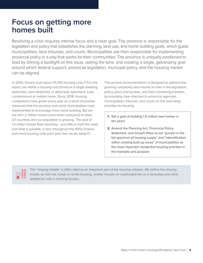## <span id="page-8-0"></span>**Focus on getting more homes built**

Resolving a crisis requires intense focus and a clear goal. The province is responsible for the legislation and policy that establishes the planning, land use, and home building goals, which guide municipalities, land tribunals, and courts. Municipalities are then responsible for implementing provincial policy in a way that works for their communities. The province is uniquely positioned to lead by shining a spotlight on this issue, setting the tone, and creating a single, galvanizing goal around which federal support, provincial legislation, municipal policy, and the housing market can be aligned.

In 2020, Ontario built about 75,000 housing units.<sup>[\[9\]](https://www.statista.com/statistics/198063/total-number-of-housing-starts-in-ontario-since-1995/)</sup> For this report, we define a housing unit (home) as a single dwelling (detached, semi-detached, or attached), apartment, suite, condominium or mobile home. Since 2018, housing completions have grown every year as a result of positive measures that the province and some municipalities have implemented to encourage more home building. But we are still 1.2 million homes short when compared to other G7 countries and our population is growing. The goal of 1.5 million homes feels daunting – but reflects both the need and what is possible. In fact, throughout the 1970s Ontario built more housing units each year than we do today.<sup>[\[10\]](https://www.poltext.org/sites/poltext.org/files/discoursV2/DB/Ontario/ON_DB_1975_29_5.pdf)</sup>

The second recommendation is designed to address the growing complexity and volume of rules in the legislation, policy, plans and by-laws, and their competing priorities, by providing clear direction to provincial agencies, municipalities, tribunals, and courts on the overriding priorities for housing.

- **1.** Set a goal of building 1.5 million new homes in ten years.
- **2.** Amend the Planning Act, Provincial Policy Statement, and Growth Plans to set "growth in the full spectrum of housing supply" and "intensification within existing built-up areas" of municipalities as the most important residential housing priorities in the mandate and purpose.



The "missing middle" is often cited as an important part of the housing solution. We define the missing middle as mid-rise condo or rental housing, smaller houses on subdivided lots or in laneways and other additional units in existing houses.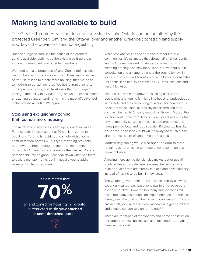## <span id="page-9-0"></span>**Making land available to build**

The Greater Toronto Area is bordered on one side by Lake Ontario and on the other by the protected Greenbelt. Similarly, the Ottawa River and another Greenbelt constrain land supply in Ottawa, the province's second-largest city.

But a shortage of land isn't the cause of the problem. Land is available, both inside the existing built-up areas and on undeveloped land outside greenbelts.

We need to make better use of land. Zoning defines what we can build and where we can build. If we want to make better use of land to create more housing, then we need to modernize our zoning rules. We heard from planners, municipal councillors, and developers that "as of right" zoning – the ability to by-pass long, drawn out consultations and zoning by-law amendments – is the most effective tool in the provincial toolkit. We agree.

### Stop using exclusionary zoning that restricts more housing

Too much land inside cities is tied up by outdated rules. For example, it's estimated that 70% of land zoned for housing in Toronto is restricted to single-detached or semi-detached homes.<sup>[\[11\]](https://www.toronto.ca/legdocs/mmis/2021/ph/bgrd/backgroundfile-173165.pdf)</sup> This type of zoning prevents homeowners from adding additional suites to create housing for Ontarians and income for themselves. As one person said, "my neighbour can tear down what was there to build a monster home, but I'm not allowed to add a basement suite to my home."

### It's estimated that

**70%**

of land zoned for housing in Toronto is restricted to **single-detached** or **semi-detached** homes.



While less analysis has been done in other Ontario communities, it's estimated that about half of all residential land in Ottawa is zoned for single-detached housing, meaning nothing else may be built on a lot without public consultation and an amendment to the zoning by-law. In some suburbs around Toronto, single unit zoning dominates residential land use, even close to GO Transit stations and major highways.

One result is that more growth is pushing past urban boundaries and turning farmland into housing. Undeveloped land inside and outside existing municipal boundaries must be part of the solution, particularly in northern and rural communities, but isn't nearly enough on its own. Most of the solution must come from densification. Greenbelts and other environmentally sensitive areas must be protected, and farms provide food and food security. Relying too heavily on undeveloped land would whittle away too much of the already small share of land devoted to agriculture.

Modernizing zoning would also open the door to more rental housing, which in turn would make communities more inclusive.

Allowing more gentle density also makes better use of roads, water and wastewater systems, transit and other public services that are already in place and have capacity, instead of having to be built in new areas.

The Ontario government took a positive step by allowing secondary suites (e.g., basement apartments) across the province in 2019. However, too many municipalities still place too many restrictions on implementation. For the last three years, the total number of secondary suites in Toronto has actually declined each year, as few units get permitted and owners convert two units into one.<sup>[\[12\]](https://www.frpo.org/wp-content/uploads/2020/09/Urbanation-FRPO-Ontario-Rental-Market-Report-Summer-2020.pdf)</sup>

These are the types of renovations and home construction performed by small businesses and local trades, providing them with a boost.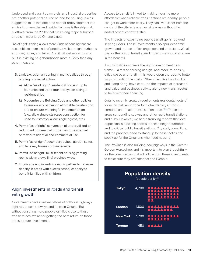Underused and vacant commercial and industrial properties are another potential source of land for housing. It was suggested to us that one area ripe for redevelopment into a mix of commercial and residential uses is the strip mall, a leftover from the 1950s that runs along major suburban streets in most large Ontario cities.

"As of right" zoning allows more kinds of housing that are accessible to more kinds of people. It makes neighbourhoods stronger, richer, and fairer. And it will get more housing built in existing neighbourhoods more quickly than any other measure.

- **3.** Limit exclusionary zoning in municipalities through binding provincial action:
	- a) Allow "as of right" residential housing up to four units and up to four storeys on a single residential lot.
	- b) Modernize the Building Code and other policies to remove any barriers to affordable construction and to ensure meaningful implementation (e.g., allow single-staircase construction for up to four storeys, allow single egress, etc.).
- **4.** Permit "as of right" conversion of underutilized or redundant commercial properties to residential or mixed residential and commercial use.
- **5.** Permit "as of right" secondary suites, garden suites, and laneway houses province-wide.
- **6.** Permit "as of right" multi-tenant housing (renting rooms within a dwelling) province-wide.
- **7.** Encourage and incentivize municipalities to increase density in areas with excess school capacity to benefit families with children.

### Align investments in roads and transit with growth

Governments have invested billions of dollars in highways, light rail, buses, subways and trains in Ontario. But without ensuring more people can live close to those transit routes, we're not getting the best return on those infrastructure investments.

Access to transit is linked to making housing more affordable: when reliable transit options are nearby, people can get to work more easily. They can live further from the centre of the city in less expensive areas without the added cost of car ownership.

The impacts of expanding public transit go far beyond serving riders. These investments also spur economic growth and reduce traffic congestion and emissions. We all pay for the cost of transit spending, and we should all share in the benefits.

If municipalities achieve the right development near transit – a mix of housing at high- and medium-density, office space and retail – this would open the door to better ways of funding the costs. Other cities, like London, UK and Hong Kong, have captured the impacts of increased land value and business activity along new transit routes to help with their financing.

Ontario recently created requirements (residents/hectare) for municipalities to zone for higher density in transit corridors and "major transit station areas".[\[13\]](https://www.ontario.ca/document/growth-plan-greater-golden-horseshoe/where-and-how-grow) These are areas surrounding subway and other rapid transit stations and hubs. However, we heard troubling reports that local opposition is blocking access to these neighbourhoods and to critical public transit stations. City staff, councillors, and the province need to stand up to these tactics and speak up for the Ontarians who need housing.

The Province is also building new highways in the Greater Golden Horseshoe, and it's important to plan thoughtfully for the communities that will follow from these investments, to make sure they are compact and liveable.

| <b>Population density</b><br>$\sqrt{\text{people}}$ per km <sup>2</sup> ) |       |                                                     |  |
|---------------------------------------------------------------------------|-------|-----------------------------------------------------|--|
| <b>Tokyo</b>                                                              | 4,200 | QД<br><b>ALLIE</b>                                  |  |
| London                                                                    | 1,800 | <u> AAAAAAAAAA</u><br><b><i><u>BRASSARA</u></i></b> |  |
| <b>New York</b>                                                           | 1.700 | <u> 111111</u><br><b>PART</b><br><u> 1111111</u>    |  |
| Toronto                                                                   |       | 450 <b>22221</b>                                    |  |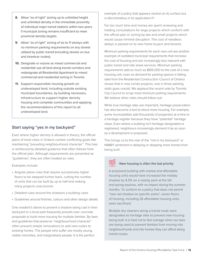- **8.** Allow "as of right" zoning up to unlimited height and unlimited density in the immediate proximity of individual major transit stations within two years if municipal zoning remains insufficient to meet provincial density targets.
- **9.** Allow "as of right" zoning of six to 11 storeys with no minimum parking requirements on any streets utilized by public transit (including streets on bus and streetcar routes).
- **10.** Designate or rezone as mixed commercial and residential use all land along transit corridors and redesignate all Residential Apartment to mixed commercial and residential zoning in Toronto.
- **11.** Support responsible housing growth on undeveloped land, including outside existing municipal boundaries, by building necessary infrastructure to support higher density housing and complete communities and applying the recommendations of this report to all undeveloped land.

### Start saying "yes in my backyard"

Even where higher density is allowed in theory, the official plans of most cities in Ontario contain conflicting goals like maintaining "prevailing neighbourhood character". This bias is reinforced by detailed guidance that often follows from the official plan. Although requirements are presented as "guidelines", they are often treated as rules.

Examples include:

- Angular plane rules that require successively higher floors to be stepped further back, cutting the number of units that can be built by up to half and making many projects uneconomic
- Detailed rules around the shadows a building casts
- Guidelines around finishes, colours and other design details

One resident's desire to prevent a shadow being cast in their backyard or a local park frequently prevails over concrete proposals to build more housing for multiple families. By-laws and guidelines that preserve "neighbourhood character" often prevent simple renovations to add new suites to existing homes. The people who suffer are mostly young, visible minorities, and marginalized people. It is the perfect

example of a policy that appears neutral on its surface but is discriminatory in its application.<sup>[\[14\]](https://www.moreneighbours.ca/)</sup>

Far too much time and money are spent reviewing and holding consultations for large projects which conform with the official plan or zoning by-law and small projects which would cause minimal disruption. The cost of needless delays is passed on to new home buyers and tenants.

Minimum parking requirements for each new unit are another example of outdated municipal requirements that increase the cost of housing and are increasingly less relevant with public transit and ride share services. Minimum parking requirements add as much as \$165,000 to the cost of a new housing unit, even as demand for parking spaces is falling: data from the Residential Construction Council of Ontario shows that in new condo projects, one in three parking stalls goes unsold. We applaud the recent vote by Toronto City Council to scrap most minimum parking requirements. We believe other cities should follow suit.

While true heritage sites are important, heritage preservation has also become a tool to block more housing. For example, some municipalities add thousands of properties at a time to a heritage register because they have "potential" heritage value. Even where a building isn't heritage designated or registered, neighbours increasingly demand it be as soon as a development is proposed.

This brings us to the role of the "not in my backyard" or NIMBY sentiment in delaying or stopping more homes from being built.



#### New housing is often the last priority

A proposed building with market and affordable housing units would have increased the midday shadow by 6.5% on a nearby park at the fall and spring equinox, with no impact during the summer months. To conform to a policy that does not permit "new net shadow on specific parks", seven floors of housing, including 26 affordable housing units, were sacrificed.

Multiple dry cleaners along a transit route were designated as heritage sites to prevent new housing being built. It is hard not to feel outrage when our laws are being used to prevent families from moving into neighbourhoods and into homes they can afford along transit routes.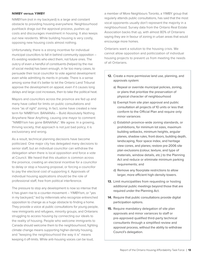#### **NIMBY versus YIMBY**

NIMBYism (not in my backyard) is a large and constant obstacle to providing housing everywhere. Neighbourhood pushback drags out the approval process, pushes up costs and discourages investment in housing. It also keeps out new residents. While building housing is very costly, opposing new housing costs almost nothing.

Unfortunately, there is a strong incentive for individual municipal councillors to fall in behind community opposition – it's existing residents who elect them, not future ones. The outcry of even a handful of constituents (helped by the rise of social media) has been enough, in far too many cases, to persuade their local councillor to vote against development even while admitting its merits in private. There is a sense among some that it's better to let the Ontario Land Tribunal approve the development on appeal, even if it causes long delays and large cost increases, then to take the political heat.

Mayors and councillors across the province are fed up and many have called for limits on public consultations and more "as of right" zoning. In fact, some have created a new term for NIMBYism: BANANAs – Build Absolutely Nothing Anywhere Near Anything, causing one mayor to comment "NIMBYism has gone BANANAs". We agree. In a growing, thriving society, that approach is not just bad policy, it is exclusionary and wrong.

As a result, technical planning decisions have become politicized. One major city has delegated many decisions to senior staff, but an individual councillor can withdraw the delegation when there is local opposition and force a vote at Council. We heard that this situation is common across the province, creating an electoral incentive for a councillor to delay or stop a housing proposal, or forcing a councillor to pay the electoral cost of supporting it. Approvals of individual housing applications should be the role of professional staff, free from political interference.

The pressure to stop any development is now so intense that it has given rise to a counter-movement – YIMBYism, or "yes in my backyard," led by millennials who recognize entrenched opposition to change as a huge obstacle to finding a home. They provide a voice at public consultations for young people, new immigrants and refugees, minority groups, and Ontarians struggling to access housing by connecting our ideals to the reality of housing. People who welcome immigrants to Canada should welcome them to the neighbourhood, fighting climate change means supporting higher-density housing, and "keeping the neighbourhood the way it is" means keeping it off-limits. While anti-housing voices can be loud,

a member of More Neighbours Toronto, a YIMBY group that regularly attends public consultations, has said that the most vocal opponents usually don't represent the majority in a neighbourhood. Survey data from the Ontario Real Estate Association backs that up, with almost 80% of Ontarians saying they are in favour of zoning in urban areas that would encourage more homes.

Ontarians want a solution to the housing crisis. We cannot allow opposition and politicization of individual housing projects to prevent us from meeting the needs of all Ontarians.

- **12.** Create a more permissive land use, planning, and approvals system:
	- a) Repeal or override municipal policies, zoning, or plans that prioritize the preservation of physical character of neighbourhood
	- b) Exempt from site plan approval and public consultation all projects of 10 units or less that conform to the Official Plan and require only minor variances
	- c) Establish province-wide zoning standards, or prohibitions, for minimum lot sizes, maximum building setbacks, minimum heights, angular planes, shadow rules, front doors, building depth, landscaping, floor space index, and heritage view cones, and planes; restore pre-2006 site plan exclusions (colour, texture, and type of materials, window details, etc.) to the Planning Act and reduce or eliminate minimum parking requirements; and
	- d) Remove any floorplate restrictions to allow larger, more efficient high-density towers.
- **13.** Limit municipalities from requesting or hosting additional public meetings beyond those that are required under the Planning Act.
- **14.** Require that public consultations provide digital participation options.
- **15.** Require mandatory delegation of site plan approvals and minor variances to staff or pre-approved qualified third-party technical consultants through a simplified review and approval process, without the ability to withdraw Council's delegation.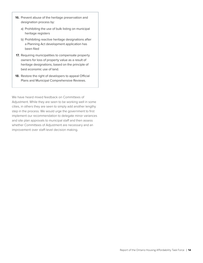- **16.** Prevent abuse of the heritage preservation and designation process by:
	- a) Prohibiting the use of bulk listing on municipal heritage registers
	- b) Prohibiting reactive heritage designations after a Planning Act development application has been filed
- **17.** Requiring municipalities to compensate property owners for loss of property value as a result of heritage designations, based on the principle of best economic use of land.
- **18.** Restore the right of developers to appeal Official Plans and Municipal Comprehensive Reviews.

We have heard mixed feedback on Committees of Adjustment. While they are seen to be working well in some cities, in others they are seen to simply add another lengthy step in the process. We would urge the government to first implement our recommendation to delegate minor variances and site plan approvals to municipal staff and then assess whether Committees of Adjustment are necessary and an improvement over staff-level decision making.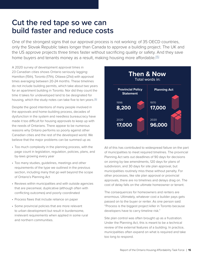## <span id="page-14-0"></span>**Cut the red tape so we can build faster and reduce costs**

One of the strongest signs that our approval process is not working: of 35 OECD countries, only the Slovak Republic takes longer than Canada to approve a building project. The UK and the US approve projects three times faster without sacrificing quality or safety. And they save home buyers and tenants money as a result, making housing more affordable.<sup>[\[15\]](https://www.doingbusiness.org/en/data/exploretopics/dealing-with-construction-permits)</sup>

A 2020 survey of development approval times in 23 Canadian cities shows Ontario seriously lagging: Hamilton (15th), Toronto (17th), Ottawa (21st) with approval times averaging between 20-24 months. These timelines do not include building permits, which take about two years for an apartment building in Toronto. Nor did they count the time it takes for undeveloped land to be designated for housing, which the study notes can take five to ten years.<sup>[\[16\]](https://bildgta.ca/Assets/BILD%20Municipal%20Benchmarking%20Study%20-%20FINAL%20-%20Sept%202020%20BILD.pdf)</sup>

Despite the good intentions of many people involved in the approvals and home-building process, decades of dysfunction in the system and needless bureaucracy have made it too difficult for housing approvals to keep up with the needs of Ontarians. There appear to be numerous reasons why Ontario performs so poorly against other Canadian cities and the rest of the developed world. We believe that the major problems can be summed up as:

- Too much complexity in the planning process, with the page count in legislation, regulation, policies, plans, and by-laws growing every year
- Too many studies, guidelines, meetings and other requirements of the type we outlined in the previous section, including many that go well beyond the scope of Ontario's Planning Act
- Reviews within municipalities and with outside agencies that are piecemeal, duplicative (although often with conflicting outcomes) and poorly coordinated
- Process flaws that include reliance on paper
- Some provincial policies that are more relevant to urban development but result in burdensome, irrelevant requirements when applied in some rural and northern communities.



All of this has contributed to widespread failure on the part of municipalities to meet required timelines. The provincial Planning Act sets out deadlines of 90 days for decisions on zoning by-law amendments, 120 days for plans of subdivision, and 30 days for site plan approval, but municipalities routinely miss these without penalty. For other processes, like site plan approval or provincial approvals, there are no timelines and delays drag on. The cost of delay falls on the ultimate homeowner or tenant.

The consequences for homeowners and renters are enormous. Ultimately, whatever cost a builder pays gets passed on to the buyer or renter. As one person said: "Process is the biggest project killer in Toronto because developers have to carry timeline risk."

Site plan control was often brought up as a frustration. Under the Planning Act, this is meant to be a technical review of the external features of a building. In practice, municipalities often expand on what is required and take too long to respond.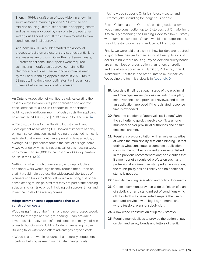Then: In 1966, a draft plan of subdivision in a town in southwestern Ontario to provide 529 low-rise and mid-rise housing units, a school site, a shopping centre and parks was approved by way of a two-page letter setting out 10 conditions. It took seven months to clear conditions for final approval.

And now: In 2013, a builder started the approval process to build on a piece of serviced residential land in a seasonal resort town. Over the next seven years, 18 professional consultant reports were required, culminating in draft plan approval containing 50 clearance conditions. The second approval, issued by the Local Planning Appeals Board in 2020, ran to 23 pages. The developer estimates it will be almost 10 years before final approval is received.

An Ontario Association of Architects study calculating the cost of delays between site plan application and approval concluded that for a 100-unit condominium apartment building, each additional month of delay costs the applicant an estimated \$193,000, or \$1,930 a month for each unit.<sup>[\[17\]](http://www.cdao.ca/files/OAA/P5727%20-%20OAA%20Site%20Plan%20Delay%20Study%20Update%20(2018).pdf)</sup>

A 2020 study done for the Building Industry and Land Development Association (BILD) looked at impacts of delay on low-rise construction, including single-detached homes. It estimated that every month an approval is delayed adds, on average, \$1.46 per square foot to the cost of a single home. A two-year delay, which is not unusual for this housing type, adds more than \$70,000 to the cost of a 2,000-square-foot house in the GTA.<sup>[\[16\]](https://bildgta.ca/Assets/BILD%20Municipal%20Benchmarking%20Study%20-%20FINAL%20-%20Sept%202020%20BILD.pdf)</sup>

Getting rid of so much unnecessary and unproductive additional work would significantly reduce the burden on staff. It would help address the widespread shortages of planners and building officials. It would also bring a stronger sense among municipal staff that they are part of the housing solution and can take pride in helping cut approval times and lower the costs of delivering homes.

#### **Adopt common sense approaches that save construction costs**

Wood using "mass timber" – an engineer compressed wood, made for strength and weight-bearing – can provide a lower-cost alternative to reinforced concrete in many mid-rise projects, but Ontario's Building Code is hampering its use. Building taller with wood offers advantages beyond cost:

• Wood is a renewable resource that naturally sequesters carbon, helping us reach our climate change goals

• Using wood supports Ontario's forestry sector and creates jobs, including for Indigenous people

British Columbia's and Quebec's building codes allow woodframe construction up to 12 storeys, but Ontario limits it to six. By amending the Building Code to allow 12-storey woodframe construction, Ontario would encourage increased use of forestry products and reduce building costs.

Finally, we were told that a shift in how builders are required to guarantee their performance would free up billions of dollars to build more housing. Pay on demand surety bonds are a much less onerous option than letters or credit, and are already accepted in Hamilton, Pickering, Innisfil, Whitchurch-Stouffville and other Ontario municipalities. We outline the technical details in [Appendix D](#page-31-0).

- **19.** Legislate timelines at each stage of the provincial and municipal review process, including site plan, minor variance, and provincial reviews, and deem an application approved if the legislated response time is exceeded.
- **20.** Fund the creation of "approvals facilitators" with the authority to quickly resolve conflicts among municipal and/or provincial authorities and ensure timelines are met.
- **21.** Require a pre-consultation with all relevant parties at which the municipality sets out a binding list that defines what constitutes a complete application; confirms the number of consultations established in the previous recommendations; and clarifies that if a member of a regulated profession such as a professional engineer has stamped an application, the municipality has no liability and no additional stamp is needed.
- **22.** Simplify planning legislation and policy documents.
- **23.** Create a common, province-wide definition of plan of subdivision and standard set of conditions which clarify which may be included; require the use of standard province-wide legal agreements and, where feasible, plans of subdivision.
- **24.** Allow wood construction of up to 12 storeys.
- **25.** Require municipalities to provide the option of pay on demand surety bonds and letters of credit.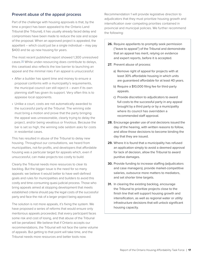### Prevent abuse of the appeal process

Part of the challenge with housing approvals is that, by the time a project has been appealed to the Ontario Land Tribunal (the Tribunal), it has usually already faced delay and compromises have been made to reduce the size and scope of the proposal. When an approved project is appealed, the appellant – which could just be a single individual – may pay \$400 and tie up new housing for years.

The most recent published report showed 1,300 unresolved cases.[\[18\]](https://olt.gov.on.ca/wp-content/uploads/2021/01/Tribunals_Ontario_2019-2020_Annual_Report_EN_v2.html.) While under-resourcing does contribute to delays, this caseload also reflects the low barrier to launching an appeal and the minimal risks if an appeal is unsuccessful:

- After a builder has spent time and money to ensure a proposal conforms with a municipality's requirements, the municipal council can still reject it – even if its own planning staff has given its support. Very often this is to appease local opponents.
- Unlike a court, costs are not automatically awarded to the successful party at the Tribunal. The winning side must bring a motion and prove that the party bringing the appeal was unreasonable, clearly trying to delay the project, and/or being vexatious or frivolous. Because the bar is set so high, the winning side seldom asks for costs in residential cases.

This has resulted in abuse of the Tribunal to delay new housing. Throughout our consultations, we heard from municipalities, not-for-profits, and developers that affordable housing was a particular target for appeals which, even if unsuccessful, can make projects too costly to build.

Clearly the Tribunal needs more resources to clear its backlog. But the bigger issue is the need for so many appeals: we believe it would better to have well-defined goals and rules for municipalities and builders to avoid this costly and time-consuming quasi-judicial process. Those who bring appeals aimed at stopping development that meets established criteria should pay the legal costs of the successful party and face the risk of a larger project being approved.

The solution is not more appeals, it's fixing the system. We have proposed a series of reforms that would ensure only meritorious appeals proceeded, that every participant faces some risk and cost of losing, and that abuse of the Tribunal will be penalized. We believe that if Ontario accepts our recommendations, the Tribunal will not face the same volume of appeals. But getting to that point will take time, and the Tribunal needs more resources and better tools now.

Recommendation 1 will provide legislative direction to adjudicators that they must prioritize housing growth and intensification over competing priorities contained in provincial and municipal policies. We further recommend the following:

- **26.** Require appellants to promptly seek permission ("leave to appeal") of the Tribunal and demonstrate that an appeal has merit, relying on evidence and expert reports, before it is accepted.
- **27.** Prevent abuse of process:
	- a) Remove right of appeal for projects with at least 30% affordable housing in which units are guaranteed affordable for at least 40 years.
	- b) Require a \$10,000 filing fee for third-party appeals.
	- c) Provide discretion to adjudicators to award full costs to the successful party in any appeal brought by a third party or by a municipality where its council has overridden a recommended staff approval.
- **28.** Encourage greater use of oral decisions issued the day of the hearing, with written reasons to follow, and allow those decisions to become binding the day that they are issued.
- **29.** Where it is found that a municipality has refused an application simply to avoid a deemed approval for lack of decision, allow the Tribunal to award punitive damages.
- **30.** Provide funding to increase staffing (adjudicators and case managers), provide market-competitive salaries, outsource more matters to mediators, and set shorter time targets.
- **31.** In clearing the existing backlog, encourage the Tribunal to prioritize projects close to the finish line that will support housing growth and intensification, as well as regional water or utility infrastructure decisions that will unlock significant housing capacity.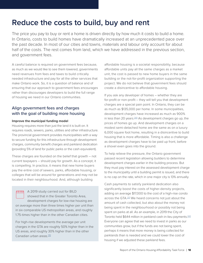## <span id="page-17-0"></span>**Reduce the costs to build, buy and rent**

The price you pay to buy or rent a home is driven directly by how much it costs to build a home. In Ontario, costs to build homes have dramatically increased at an unprecedented pace over the past decade. In most of our cities and towns, materials and labour only account for about half of the costs. The rest comes from land, which we have addressed in the previous section, and government fees.

A careful balance is required on government fees because, as much as we would like to see them lowered, governments need revenues from fees and taxes to build critically needed infrastructure and pay for all the other services that make Ontario work. So, it is a question of balance and of ensuring that our approach to government fees encourages rather than discourages developers to build the full range of housing we need in our Ontario communities.

### Align government fees and charges with the goal of building more housing

#### **Improve the municipal funding model**

Housing requires more than just the land it is built on. It requires roads, sewers, parks, utilities and other infrastructure. The provincial government provides municipalities with a way to secure funding for this infrastructure through development charges, community benefit charges and parkland dedication (providing 5% of land for public parks or the cash equivalent).

These charges are founded on the belief that growth – not current taxpayers – should pay for growth. As a concept, it is compelling. In practice, it means that new home buyers pay the entire cost of sewers, parks, affordable housing, or colleges that will be around for generations and may not be located in their neighbourhood. And, although building

**ATTH** A 2019 study carried out for BILD showed that in the Greater Toronto Area, development charges for low-rise housing are on average more than three times higher per unit than in six comparable US metropolitan areas, and roughly 1.75-times higher than in the other Canadian cities.

For high-rise developments the average per unit charges in the GTA are roughly 50% higher than in the US areas, and roughly 30% higher than in the other Canadian urban areas.<sup>[\[19\]](https://bildgta.ca/Assets/Bild/FINAL%20-%20BILD%20-%20Comparison%20of%20Government%20Charges%20in%20Canada%20and%20US%20-%20Sept%2013%202019.pdf)</sup>

affordable housing is a societal responsibility, because affordable units pay all the same charges as a market unit, the cost is passed to new home buyers in the same building or the not-for-profit organization supporting the project. We do not believe that government fees should create a disincentive to affordable housing.

If you ask any developer of homes – whether they are for-profit or non-profit – they will tell you that development charges are a special pain point. In Ontario, they can be as much as \$135,000 per home. In some municipalities, development charges have increased as much as 900% in less than 20 years.<sup>[\[20\]](https://bildgta.ca/Assets/FINAL%20GTA%20-%20Development%20Charges%20-%2009%202020.pdf)</sup> As development charges go up, the prices of homes go up. And development charges on a modest semi-detached home are the same as on a luxury 6,000 square foot home, resulting in a disincentive to build housing that is more affordable. Timing is also a challenge as development charges have to be paid up front, before a shovel even goes into the ground.

To help relieve the pressure, the Ontario government passed recent legislation allowing builders to determine development charges earlier in the building process. But they must pay interest on the assessed development charge to the municipality until a building permit is issued, and there is no cap on the rate, which in one major city is 13% annually.

Cash payments to satisfy parkland dedication also significantly boost the costs of higher-density projects, adding on average \$17,000 to the cost of a high-rise condo across the GTA.<sup>[\[21\]](https://www.thestar.com/life/homes/2018/09/01/where-did-the-money-go-parkland-dedication-fees-should-be-used-to-build-parks-in-gta.html)</sup> We heard concerns not just about the amount of cash collected, but also about the money not being spent in the neighbourhood or possibly not being spent on parks at all. As an example, in 2019 the City of Toronto held \$644 million in parkland cash-in-lieu payments.[\[22\]](https://bildgta.ca/Assets/misc/BILD%20-%20New%20Homeowner%20Money%20Report%20-%20Oct%205%202021%20(002)_Redacted.pdf) Everyone can agree that we need to invest in parks as our communities grow, but if the funds are not being spent, perhaps it means that more money is being collected for parklands than is needed and we could lower the cost of housing if we adjusted these parkland fees.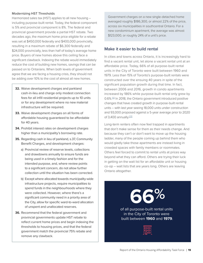#### Modernizing HST Thresholds

Harmonized sales tax (HST) applies to all new housing – including purpose-built rental. Today, the federal component is 5% and provincial component is 8%. The federal and provincial government provide a partial HST rebate. Two decades ago, the maximum home price eligible for a rebate was set at \$450,000 federally and \$400,000 provincially, resulting in a maximum rebate of \$6,300 federally and \$24,000 provincially, less than half of today's average home price. Buyers of new homes above this ceiling face a significant clawback. Indexing the rebate would immediately reduce the cost of building new homes, savings that can be passed on to Ontarians. When both levels of government agree that we are facing a housing crisis, they should not be adding over 10% to the cost of almost all new homes.

- **32.** Waive development charges and parkland cash-in-lieu and charge only modest connection fees for all infill residential projects up to 10 units or for any development where no new material infrastructure will be required.
- **33.** Waive development charges on all forms of affordable housing guaranteed to be affordable for 40 years.
- **34.** Prohibit interest rates on development charges higher than a municipality's borrowing rate.
- **35.** Regarding cash in lieu of parkland, s.37, Community Benefit Charges, and development charges:
	- a) Provincial review of reserve levels, collections and drawdowns annually to ensure funds are being used in a timely fashion and for the intended purpose, and, where review points to a significant concern, do not allow further collection until the situation has been corrected.
	- b) Except where allocated towards municipality-wide infrastructure projects, require municipalities to spend funds in the neighbourhoods where they were collected. However, where there's a significant community need in a priority area of the City, allow for specific ward-to-ward allocation of unspent and unallocated reserves.
- **36.** Recommend that the federal government and provincial governments update HST rebate to reflect current home prices and begin indexing the thresholds to housing prices, and that the federal government match the provincial 75% rebate and remove any clawback.

Government charges on a new single-detached home averaged roughly \$186,300, or almost 22% of the price, across six municipalities in southcentral Ontario. For a new condominium apartment, the average was almost \$123,000, or roughly 24% of a unit's price.

### Make it easier to build rental

In cities and towns across Ontario, it is increasingly hard to find a vacant rental unit, let alone a vacant rental unit at an affordable price. Today, 66% of all purpose-built rental units in the City of Toronto were built between 1960 and 1979. Less than 15% of Toronto's purpose-built rentals were constructed over the ensuing 40 years in spite of the significant population growth during that time. In fact, between 2006 and 2016, growth in condo apartments increased by 186% while purpose-built rental only grew by 0.6%.[\[12\]](https://www.frpo.org/wp-content/uploads/2020/09/Urbanation-FRPO-Ontario-Rental-Market-Report-Summer-2020.pdf) In 2018, the Ontario government introduced positive changes that have created growth in purpose-built rental units – with last year seeing 18,000 units under construction and 93,000 proposed against a 5-year average prior to 2020 of 3,400 annually.<sup>[\[2](https://www.urbanation.ca/news/336-gta-rental-construction-surged-2021-vacancy-fell)3]</sup>

Long-term renters often now feel trapped in apartments that don't make sense for them as their needs change. And because they can't or don't want to move up the housing ladder, many of the people coming up behind them who would gladly take those apartments are instead living in crowded spaces with family members or roommates. Others feel forced to commit to rental units at prices way beyond what they can afford. Others are trying their luck in getting on the wait list for an affordable unit or housing co-op – wait lists that are years long. Others are leaving Ontario altogether.

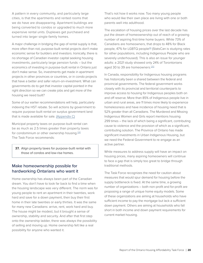A pattern in every community, and particularly large cities, is that the apartments and rented rooms that we do have are disappearing. Apartment buildings are being converted to condos or upgraded to much more expensive rental units. Duplexes get purchased and turned into larger single-family homes.

A major challenge in bridging the gap of rental supply is that, more often than not, purpose-built rental projects don't make economic sense for builders and investors. Ironically, there is no shortage of Canadian investor capital seeking housing investments, particularly large pension funds – but the economics of investing in purpose-built rental in Ontario just don't make sense. So, investments get made in apartment projects in other provinces or countries, or in condo projects that have a better and safer return-on-investment. What can governments do to get that investor capital pointed in the right direction so we can create jobs and get more of the housing we need built?

Some of our earlier recommendations will help, particularly indexing the HST rebate. So will actions by government to require purpose-built rental on surplus government land that is made available for sale. ([Appendix C\)](#page-30-0)

Municipal property taxes on purpose-built rental can be as much as 2.5 times greater than property taxes for condominium or other ownership housing.<sup>[\[24\]](https://www.frpo.org/lobby-view/cities-still-ripping-off-renters)</sup> The Task Force recommends:

**37.** Align property taxes for purpose-built rental with those of condos and low-rise homes.

### Make homeownership possible for hardworking Ontarians who want it

Home ownership has always been part of the Canadian dream. You don't have to look far back to find a time when the housing landscape was very different. The norm was for young people to rent an apartment in their twenties, work hard and save for a down payment, then buy their first home in their late twenties or early thirties. It was the same for many new Canadians: arrive, rent, work hard and buy. The house might be modest, but it brought a sense of ownership, stability and security. And after that first step onto the ownership ladder, there was always the possibility of selling and moving up. Home ownership felt like a real possibility for anyone who wanted it.

That's not how it works now. Too many young people who would like their own place are living with one or both parents well into adulthood.

The escalation of housing prices over the last decade has put the dream of homeownership out of reach of a growing number of aspiring first-time home buyers. While 73% of Canadians are homeowners, that drops to 48% for Black people, 47% for LGBTQ people<sup>[\[5\]](https://www.theglobeandmail.com/business/article-black-canadians-have-some-of-the-lowest-home-ownership-rates-in-canada/)</sup> (StatsCan is studying rates for other populations, including Indigenous People who are severely underhoused). This is also an issue for younger adults: a 2021 study showed only 24% of Torontonians aged 30 to 39 are homeowners.<sup>[\[25\]](https://edisonfinancial.ca/millennial-home-ownership-canada/)</sup>

In Canada, responsibility for Indigenous housing programs has historically been a shared between the federal and provincial governments. The federal government works closely with its provincial and territorial counterparts to improve access to housing for Indigenous peoples both on and off reserve. More than 85% of Indigenous people live in urban and rural areas, are 11 times more likely to experience homelessness and have incidence of housing need that is 52% greater than all Canadians. The Murdered and Missing Indigenous Women and Girls report mentions housing 299 times – the lack of which being a significant, contributing cause to violence and the provision of which as a significant, contributing solution. The Province of Ontario has made significant investments in Urban Indigenous Housing, but we need the Federal Government to re-engage as an active partner.

While measures to address supply will have an impact on housing prices, many aspiring homeowners will continue to face a gap that is simply too great to bridge through traditional methods.

The Task Force recognizes the need for caution about measures that would spur demand for housing before the supply bottleneck is fixed. At the same time, a growing number of organizations – both non-profit and for-profit are proposing a range of unique home equity models. Some of these organizations are aiming at households who have sufficient income to pay the mortgage but lack a sufficient down payment. Others are aiming at households who fall short in both income and down payment requirements for current market housing.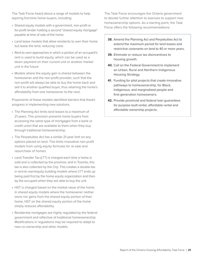The Task Force heard about a range of models to help aspiring first-time home buyers, including:

- Shared equity models with a government, non-profit or for-profit lender holding a second "shared equity mortgage" payable at time of sale of the home
- Land lease models that allow residents to own their home but lease the land, reducing costs
- Rent-to-own approaches in which a portion of an occupant's rent is used to build equity, which can be used as a down payment on their current unit or another market unit in the future
- Models where the equity gain is shared between the homeowner and the non-profit provider, such that the non-profit will always be able to buy the home back and sell it to another qualified buyer, thus retaining the home's affordability from one homeowner to the next.

Proponents of these models identified barriers that thwart progress in implementing new solutions.

- The Planning Act limits land leases to a maximum of 21 years. This provision prevents home buyers from accessing the same type of mortgages from a bank or credit union that are available to them when they buy through traditional homeownership.
- The Perpetuities Act has a similar 21-year limit on any options placed on land. This limits innovative non-profit models from using equity formulas for re-sale and repurchase of homes.
- Land Transfer Tax (LTT) is charged each time a home is sold and is collected by the province; and in Toronto, this tax is also collected by the City. This creates a double-tax in rent-to-own/equity building models where LTT ends up being paid first by the home equity organization and then by the occupant when they are able to buy the unit.
- HST is charged based on the market value of the home. In shared equity models where the homeowner neither owns nor gains from the shared equity portion of their home, HST on the shared equity portion of the home simply reduces affordability.
- Residential mortgages are highly regulated by the federal government and reflective of traditional homeownership. Modifications in regulations may be required to adapt to new co-ownership and other models.

The Task Force encourages the Ontario government to devote further attention to avenues to support new homeownership options. As a starting point, the Task Force offers the following recommendations:

- **38.** Amend the Planning Act and Perpetuities Act to extend the maximum period for land leases and restrictive covenants on land to 40 or more years.
- **39.** Eliminate or reduce tax disincentives to housing growth.
- **40.** Call on the Federal Government to implement an Urban, Rural and Northern Indigenous Housing Strategy.
- **41.** Funding for pilot projects that create innovative pathways to homeownership, for Black, Indigenous, and marginalized people and first-generation homeowners.
- **42.** Provide provincial and federal loan guarantees for purpose-built rental, affordable rental and affordable ownership projects.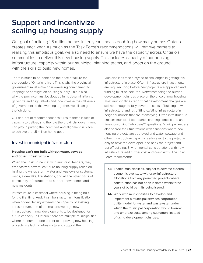## <span id="page-21-0"></span>**Support and incentivize scaling up housing supply**

Our goal of building 1.5 million homes in ten years means doubling how many homes Ontario creates each year. As much as the Task Force's recommendations will remove barriers to realizing this ambitious goal, we also need to ensure we have the capacity across Ontario's communities to deliver this new housing supply. This includes capacity of our housing infrastructure, capacity within our municipal planning teams, and boots on the ground with the skills to build new homes.

There is much to be done and the price of failure for the people of Ontario is high. This is why the provincial government must make an unwavering commitment to keeping the spotlight on housing supply. This is also why the province must be dogged in its determination to galvanize and align efforts and incentives across all levels of government so that working together, we all can get the job done.

Our final set of recommendations turns to these issues of capacity to deliver, and the role the provincial government can play in putting the incentives and alignment in place to achieve the 1.5 million home goal.

### Invest in municipal infrastructure

#### **Housing can't get built without water, sewage, and other infrastructure**

When the Task Force met with municipal leaders, they emphasized how much future housing supply relies on having the water, storm water and wastewater systems, roads, sidewalks, fire stations, and all the other parts of community infrastructure to support new homes and new residents.

Infrastructure is essential where housing is being built for the first time. And, it can be a factor in intensification when added density exceeds the capacity of existing infrastructure, one of the reasons we urge new infrastructure in new developments to be designed for future capacity. In Ontario, there are multiple municipalities where the number one barrier to approving new housing projects is a lack of infrastructure to support them.

Municipalities face a myriad of challenges in getting this infrastructure in place. Often, infrastructure investments are required long before new projects are approved and funding must be secured. Notwithstanding the burden development charges place on the price of new housing, most municipalities report that development charges are still not enough to fully cover the costs of building new infrastructure and retrofitting existing infrastructure in neighbourhoods that are intensifying. Often infrastructure crosses municipal boundaries creating complicated and time-consuming "who pays?" questions. Municipal leaders also shared their frustrations with situations where new housing projects are approved and water, sewage and other infrastructure capacity is allocated to the project – only to have the developer land bank the project and put off building. Environmental considerations with new infrastructure add further cost and complexity. The Task Force recommends:

- **43.** Enable municipalities, subject to adverse external economic events, to withdraw infrastructure allocations from any permitted projects where construction has not been initiated within three years of build permits being issued.
- **44.** Work with municipalities to develop and implement a municipal services corporation utility model for water and wastewater under which the municipal corporation would borrow and amortize costs among customers instead of using development charges.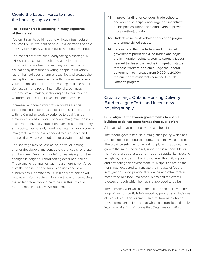### Create the Labour Force to meet the housing supply need

#### **The labour force is shrinking in many segments of the market**

You can't start to build housing without infrastructure. You can't build it without people – skilled trades people in every community who can build the homes we need.

The concern that we are already facing a shortage in skilled trades came through loud and clear in our consultations. We heard from many sources that our education system funnels young people to university rather than colleges or apprenticeships and creates the perception that careers in the skilled trades are of less value. Unions and builders are working to fill the pipeline domestically and recruit internationally, but mass retirements are making it challenging to maintain the workforce at its current level, let alone increase it.

Increased economic immigration could ease this bottleneck, but it appears difficult for a skilled labourer with no Canadian work experience to qualify under Ontario's rules. Moreover, Canada's immigration policies also favour university education over skills our economy and society desperately need. We ought to be welcoming immigrants with the skills needed to build roads and houses that will accommodate our growing population.

The shortage may be less acute, however, among smaller developers and contractors that could renovate and build new "missing middle" homes arising from the changes in neighbourhood zoning described earlier. These smaller companies tap into a different workforce from the one needed to build high rises and new subdivisions. Nonetheless, 1.5 million more homes will require a major investment in attracting and developing the skilled trades workforce to deliver this critically needed housing supply. We recommend:

- **45.** Improve funding for colleges, trade schools, and apprenticeships; encourage and incentivize municipalities, unions and employers to provide more on-the-job training.
- **46.** Undertake multi-stakeholder education program to promote skilled trades.
- **47.** Recommend that the federal and provincial government prioritize skilled trades and adjust the immigration points system to strongly favour needed trades and expedite immigration status for these workers, and encourage the federal government to increase from 9,000 to 20,000 the number of immigrants admitted through Ontario's program.

## Create a large Ontario Housing Delivery Fund to align efforts and incent new housing supply

#### **Build alignment between governments to enable builders to deliver more homes than ever before**

All levels of government play a role in housing.

The federal government sets immigration policy, which has a major impact on population growth and many tax policies. The province sets the framework for planning, approvals, and growth that municipalities rely upon, and is responsible for many other areas that touch on housing supply, like investing in highways and transit, training workers, the building code and protecting the environment. Municipalities are on the front lines, expected to translate the impacts of federal immigration policy, provincial guidance and other factors, some very localized, into official plans and the overall process through which homes are approved to be built.

The efficiency with which home builders can build, whether for-profit or non-profit, is influenced by policies and decisions at every level of government. In turn, how many home developers can deliver, and at what cost, translates directly into the availability of homes that Ontarians can afford.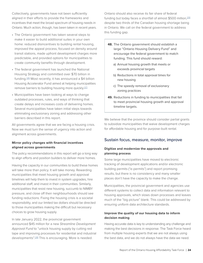Collectively, governments have not been sufficiently aligned in their efforts to provide the frameworks and incentives that meet the broad spectrum of housing needs in Ontario. Much action, though, has been taken in recent years.

- The Ontario government has taken several steps to make it easier to build additional suites in your own home: reduced disincentives to building rental housing, improved the appeal process, focused on density around transit stations, made upfront development charges more predictable, and provided options for municipalities to create community benefits through development.
- The federal government has launched the National Housing Strategy and committed over \$70 billion in funding.<sup>[\[26\]](https://www.placetocallhome.ca/what-is-the-strategy)</sup> Most recently, it has announced a \$4 billion Housing Accelerator Fund aimed at helping municipalities remove barriers to building housing more quickly.<sup>[\[27\]](https://www.cmhc-schl.gc.ca/en/media-newsroom/news-releases/2021/housing-accelerator-fund-rent-to-own-program)</sup>
- Municipalities have been looking at ways to change outdated processes, rules, and ways of thinking that create delays and increases costs of delivering homes. Several municipalities have taken initial steps towards eliminating exclusionary zoning and addressing other barriers described in this report.

All governments agree that we are facing a housing crisis. Now we must turn the sense of urgency into action and alignment across governments.

#### **Mirror policy changes with financial incentives aligned across governments**

The policy recommendations in this report will go a long way to align efforts and position builders to deliver more homes.

Having the capacity in our communities to build these homes will take more than policy. It will take money. Rewarding municipalities that meet housing growth and approval timelines will help them to invest in system upgrades, hire additional staff, and invest in their communities. Similarly, municipalities that resist new housing, succumb to NIMBY pressure, and close off their neighbourhoods should see funding reductions. Fixing the housing crisis is a societal responsibility, and our limited tax dollars should be directed to those municipalities making the difficult but necessary choices to grow housing supply.

In late January 2022, the provincial government announced \$45 million for a new Streamline Development Approval Fund to "unlock housing supply by cutting red tape and improving processes for residential and industrial developments".<sup>[\[28\]](https://www.thestar.com/news/gta/2022/01/19/ford-government-announces-45-million-to-cut-red-tape-and-speed-up-applications-for-new-home-construction.html)</sup> This is encouraging. More is needed.

Ontario should also receive its fair share of federal funding but today faces a shortfall of almost \$500 million, [\[29\]](https://www.canadianrealestatemagazine.ca/news/federal-funds-must-flow-for-housing-programs-334810.aspx) despite two thirds of the Canadian housing shortage being in Ontario. We call on the federal government to address this funding gap.

- **48.** The Ontario government should establish a large "Ontario Housing Delivery Fund" and encourage the federal government to match funding. This fund should reward:
	- a) Annual housing growth that meets or exceeds provincial targets
	- b) Reductions in total approval times for new housing
	- c) The speedy removal of exclusionary zoning practices
- **49.** Reductions in funding to municipalities that fail to meet provincial housing growth and approval timeline targets.

We believe that the province should consider partial grants to subsidize municipalities that waive development charges for affordable housing and for purpose-built rental.

### Sustain focus, measure, monitor, improve

### **Digitize and modernize the approvals and planning process**

Some large municipalities have moved to electronic tracking of development applications and/or electronic building permits ("e-permits") and report promising results, but there is no consistency and many smaller places don't have the capacity to make the change.

Municipalities, the provincial government and agencies use different systems to collect data and information relevant to housing approvals, which slows down processes and leaves much of the "big picture" blank. This could be addressed by ensuring uniform data architecture standards.

### **Improve the quality of our housing data to inform decision making**

Having accurate data is key to understanding any challenge and making the best decisions in response. The Task Force heard from multiple housing experts that we are not always using the best data, and we do not always have the data we need.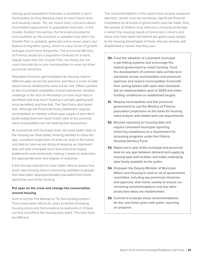Having good population forecasts is essential in each municipality as they develop plans to meet future land and housing needs. Yet, we heard many concerns about inconsistent approaches to population forecasts. In the Greater Golden Horseshoe, the forecast provided to municipalities by the province is updated only when the Growth Plan is updated, generally every seven years; but federal immigration policy, which is a key driver of growth, changes much more frequently. The provincial Ministry of Finance produces a population forecast on a more regular basis than the Growth Plan, but these are not used consistently across municipalities or even by other provincial ministries.

Population forecasts get translated into housing need in different ways across the province, and there is a lack of data about how (or whether) the need will be met. Others pointed to the inconsistent availability of land inventories. Another challenge is the lack of information on how much land is permitted and how much housing is actually getting built once permitted, and how fast. The Task Force also heard that, although the Provincial Policy Statement requires municipalities to maintain a three-year supply of short-term (build-ready) land and report it each year to the province, many municipalities are not meeting that requirement.

At a provincial and municipal level, we need better data on the housing we have today, housing needed to close the gap, consistent projections of what we need in the future, and data on how we are doing at keeping up. Improved data will help anticipate local and provincial supply bottlenecks and constraints, making it easier to determine the appropriate level and degree of response.

It will also be important to have better data to assess how much new housing stock is becoming available to groups that have been disproportionately excluded from home ownership and rental housing.

#### **Put eyes on the crisis and change the conversation around housing**

Ours is not the first attempt to "fix the housing system". There have been efforts for years to tackle increasing housing prices and find solutions so everyone in Ontario can find and afford the housing they need. This time must be different.

The recommendations in this report must receive sustained attention, results must be monitored, significant financial investment by all levels of government must be made. And, the people of Ontario must embrace a housing landscape in which the housing needs of tomorrow's citizens and those who have been left behind are given equal weight to the housing advantages of those who are already well established in homes that they own.

- **50.** Fund the adoption of consistent municipal e-permitting systems and encourage the federal government to match funding. Fund the development of common data architecture standards across municipalities and provincial agencies and require municipalities to provide their zoning bylaws with open data standards. Set an implementation goal of 2025 and make funding conditional on established targets.
- **51.** Require municipalities and the provincial government to use the Ministry of Finance population projections as the basis for housing need analysis and related land use requirements.
- **52.** Resume reporting on housing data and require consistent municipal reporting, enforcing compliance as a requirement for accessing programs under the Ontario Housing Delivery Fund.
- **53.** Report each year at the municipal and provincial level on any gap between demand and supply by housing type and location, and make underlying data freely available to the public.
- **54.** Empower the Deputy Minister of Municipal Affairs and Housing to lead an all-of-government committee, including key provincial ministries and agencies, that meets weekly to ensure our remaining recommendations and any other productive ideas are implemented.
- **55.** Commit to evaluate these recommendations for the next three years with public reporting on progress.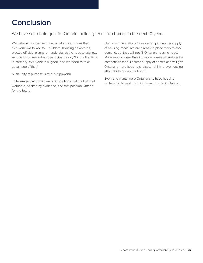## <span id="page-25-0"></span>**Conclusion**

We have set a bold goal for Ontario: building 1.5 million homes in the next 10 years.

We believe this can be done. What struck us was that everyone we talked to – builders, housing advocates, elected officials, planners – understands the need to act now. As one long-time industry participant said, "for the first time in memory, everyone is aligned, and we need to take advantage of that."

Such unity of purpose is rare, but powerful.

To leverage that power, we offer solutions that are bold but workable, backed by evidence, and that position Ontario for the future.

Our recommendations focus on ramping up the supply of housing. Measures are already in place to try to cool demand, but they will not fill Ontario's housing need. More supply is key. Building more homes will reduce the competition for our scarce supply of homes and will give Ontarians more housing choices. It will improve housing affordability across the board.

Everyone wants more Ontarians to have housing. So let's get to work to build more housing in Ontario.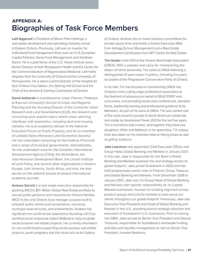## <span id="page-26-0"></span>**APPENDIX A: Biographies of Task Force Members**

Lalit Aggarwal is President of Manor Park Holdings, a real estate development and operating company active in Eastern Ontario. Previously, Lalit was an investor for institutional fund management firms, such as H.I.G. European Capital Partners, Soros Fund Management, and Goldman Sachs. He is a past fellow of the C.D. Howe Institute and a former Director of both Bridgepoint Health and the Centre for the Commercialization of Regenerative Medicine. Lalit holds degrees from the University of Oxford and the University of Pennsylvania. He is also a current Director of the Hospital for Sick Children Foundation, the Sterling Hall School and the Chair of the Alcohol & Gaming Commission of Ontario.

David Amborski is a professional Urban Planner, Professor at Ryerson University's School of Urban and Regional Planning and the founding Director of the Centre for Urban Research and Land Development (CUR). His research and consulting work explore topics where urban planning interfaces with economics, including land and housing markets. He is an academic advisor to the National Executive Forum on Public Property, and he is a member of Lambda Alpha (Honorary Land Economics Society). He has undertaken consulting for the Federal, Provincial and a range of municipal governments. Internationally, he has undertaken work for the Canadian International Development Agency (CIDA), the World Bank, the Inter-American Development Bank, the Lincoln Institute of Land Policy, and several other organizations in Eastern Europe, Latin America, South Africa, and Asia. He also serves on the editorial boards of several international academic journals.

Andrew Garrett is a real estate executive responsible for growing IMCO's \$11+ Billion Global Real Estate portfolio to secure public pensions and insurance for Ontario families. IMCO is the only Ontario fund manager purpose built to onboard public clients such as pensions, insurance, municipal reserve funds, and endowments. Andrew has significant non-profit sector experience founding a B Corp certified social enterprise called WeBuild to help incubate social purpose real estate projects. He currently volunteers on non-profit boards supporting social purpose real estate projects, youth programs and the visual arts at Art Gallery

of Ontario. Andrew sits on board advisory committees for private equity firms and holds a Global Executive MBA from Kellogg School Management and a Real Estate Development Certification from MIT Centre for Real Estate.

Tim Hudak is the CEO of the Ontario Real Estate Association (OREA). With a passion and voice for championing the dream of home ownership, Tim came to OREA following a distinguished 21-year career in politics, including five years as Leader of the Progressive Conservative Party of Ontario.

In his role, Tim has focused on transforming OREA into Ontario's most cutting-edge professional association at the forefront of advocacy on behalf of REALTORS® and consumers, and providing world-class conferences, standard forms, leadership training and professional guidance to its Members. As part of his work at OREA, Tim was named one of the most powerful people in North American residential real estate by Swanepoel Power 200 for the last five years. Tim is married to Deb Hutton, and together they have two daughters, Miller and Maitland. In his spare time, Tim enjoys trails less taken on his mountain bike or hiking shoes as well as grilling outdoors.

Jake Lawrence was appointed Chief Executive Officer and Group Head, Global Banking and Markets in January 2021. In this role, Jake is responsible for the Bank's Global Banking and Markets business line and strategy across its global footprint. Jake joined Scotiabank in 2002 and has held progressively senior roles in Finance, Group Treasury and Global Banking and Markets. From December 2018 to January 2021, Jake was Co-Group Head of Global Banking and Markets with specific responsibility for its Capital Markets businesses, focused on building alignment across product groups and priority markets to best serve our clients throughout our global footprint. Previously, Jake was Executive Vice President and Head of Global Banking and Markets in the U.S., providing overall strategic direction and execution of Scotiabank's U.S. businesses. Prior to moving into GBM, Jake served as Senior Vice President and Deputy Treasurer, responsible for Scotiabank's wholesale funding activities and liquidity management as well as Senior Vice President, Investor Relations.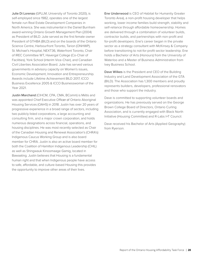Julie Di Lorenzo (GPLLM, University of Toronto 2020), is self-employed since 1982, operates one of the largest female-run Real Estate Development Companies in North America. She was instrumental in the Daniel Burnham award-winning Ontario Growth Management Plan (2004) as President of BILD. Julie served as the first female-owner President of GTHBA (BILD) and on the boards of the Ontario Science Centre, Harbourfront Toronto, Tarion (ONHWP), St. Michael's Hospital, NEXT36, Waterfront Toronto, Chair of IREC Committee WT, Havergal College (Co-Chair of Facilities), York School (interim Vice-Chair), and Canadian Civil Liberties Association Board. Julie has served various governments in advisory capacity on Women's issues, Economic Development, Innovation and Entrepreneurship. Awards include Lifetime Achievement BILD 2017, ICCO Business Excellence 2005 & ICCO Businesswoman of the Year 2021.

Justin Marchand (CIHCM, CPA, CMA, BComm) is Métis and was appointed Chief Executive Officer of Ontario Aboriginal Housing Services (OAHS) in 2018. Justin has over 20 years of progressive experience in a broad range of sectors, including two publicly listed corporations, a large accounting and consulting firm, and a major crown corporation, and holds numerous designations across financial, operations, and housing disciplines. He was most recently selected as Chair of the Canadian Housing and Renewal Association's (CHRA's) Indigenous Caucus Working Group and is also board member for CHRA. Justin is also an active board member for both the Coalition of Hamilton Indigenous Leadership (CHIL) as well as Shingwauk Kinoomaage Gamig, located in Bawaating. Justin believes that Housing is a fundamental human right and that when Indigenous people have access to safe, affordable, and culture-based Housing this provides the opportunity to improve other areas of their lives.

Ene Underwood is CEO of Habitat for Humanity Greater Toronto Area), a non-profit housing developer that helps working, lower income families build strength, stability and self-reliance through affordable homeownership. Homes are delivered through a combination of volunteer builds, contractor builds, and partnerships with non-profit and for-profit developers. Ene's career began in the private sector as a strategy consultant with McKinsey & Company before transitioning to not-for-profit sector leadership. Ene holds a Bachelor of Arts (Honours) from the University of Waterloo and a Master of Business Administration from Ivey Business School.

Dave Wilkes is the President and CEO of the Building Industry and Land Development Association of the GTA (BILD). The Association has 1,300 members and proudly represents builders, developers, professional renovators and those who support the industry.

Dave is committed to supporting volunteer boards and organizations. He has previously served on the George Brown College Board of Directors, Ontario Curling Association, and is currently engaged with Black North Initiative (Housing Committee) and R-Labs I+T Council.

Dave received his Bachelor of Arts (Applied Geography) from Ryerson.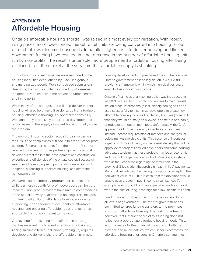## <span id="page-28-0"></span>**APPENDIX B: Affordable Housing**

Ontario's affordable housing shortfall was raised in almost every conversation. With rapidly rising prices, more lower-priced market rental units are being converted into housing far out of reach of lower-income households. In parallel, higher costs to deliver housing and limited government funding have resulted in a net decrease in the number of affordable housing units run by non-profits. The result is untenable: more people need affordable housing after being displaced from the market at the very time that affordable supply is shrinking.

Throughout our consultations, we were reminded of the housing inequities experienced by Black, Indigenous and marginalized people. We also received submissions describing the unique challenges faced by off-reserve Indigenous Peoples both in the province's urban centres and in the north.

While many of the changes that will help deliver market housing will also help make it easier to deliver affordable housing, affordable housing is a societal responsibility. We cannot rely exclusively on for-profit developers nor on increases in the supply of market housing to fully solve the problem.

The non-profit housing sector faces all the same barriers, fees, risks and complexities outlined in this report as for-profit builders. Several participants from the non-profit sector referred to current or future partnerships with for-profit developers that tap into the development and construction expertise and efficiencies of the private sector. Successful examples of leveraging such partnerships were cited with Indigenous housing, supportive housing, and affordable homeownership.

We were also reminded by program participants that, while partnerships with for-profit developers can be very impactful, non-profit providers have unique competencies in the actual delivery of affordable housing. This includes confirming eligibility of affordable housing applicants, supporting independence of occupants of affordable housing, and ensuring affordable housing units remain affordable from one occupant to the next.

One avenue for delivering more affordable housing that has received much recent attention is inclusionary zoning. In simple terms, inclusionary zoning (IZ) requires developers to deliver a share of affordable units in new

housing developments in prescribed areas. The previous Ontario government passed legislation in April 2018 providing a framework within which municipalities could enact Inclusionary Zoning bylaws.

Ontario's first inclusionary zoning policy was introduced in fall 2021 by the City of Toronto and applies to major transit station areas. Internationally, inclusionary zoning has been used successfully to incentivize developers to create new affordable housing by providing density bonuses (more units than they would normally be allowed, if some are affordable) or reductions in government fees. Unfortunately, the City's approach did not include any incentives or bonuses. Instead, Toronto requires market-rate fees and charges for below-market affordable units. This absence of incentives together with lack of clarity on the overall density that will be approved for projects has led developers and some housing advocates to claim that these projects may be uneconomic and thus will not get financed or built. Municipalities shared with us their concerns regarding the restriction in the provincial IZ legislation that prohibits "cash in lieu" payments. Municipalities advised that having the option of accepting the equivalent value of IZ units in cash from the developer would enable even greater impact in some circumstances (for example, a luxury building in an expensive neighbourhood, where the cost of living is too high for a low-income resident).

Funding for affordable housing is the responsibility of all levels of government. The federal government has committed to large funding transfers to the provinces to support affordable housing. The Task Force heard, however, that Ontario's share of this funding does not reflect our proportionate affordable housing needs. This, in turn, creates further financial pressure on both the province and municipalities, which further exacerbates the affordable housing shortages in Ontario's communities.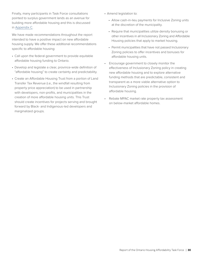Finally, many participants in Task Force consultations pointed to surplus government lands as an avenue for building more affordable housing and this is discussed in [Appendix C.](#page-30-0)

We have made recommendations throughout the report intended to have a positive impact on new affordable housing supply. We offer these additional recommendations specific to affordable housing:

- Call upon the federal government to provide equitable affordable housing funding to Ontario.
- Develop and legislate a clear, province-wide definition of "affordable housing" to create certainty and predictability.
- Create an Affordable Housing Trust from a portion of Land Transfer Tax Revenue (i.e., the windfall resulting from property price appreciation) to be used in partnership with developers, non-profits, and municipalities in the creation of more affordable housing units. This Trust should create incentives for projects serving and brought forward by Black- and Indigenous-led developers and marginalized groups.
- Amend legislation to:
	- Allow cash-in-lieu payments for Inclusive Zoning units at the discretion of the municipality.
	- Require that municipalities utilize density bonusing or other incentives in all Inclusionary Zoning and Affordable Housing policies that apply to market housing.
	- Permit municipalities that have not passed Inclusionary Zoning policies to offer incentives and bonuses for affordable housing units.
- Encourage government to closely monitor the effectiveness of Inclusionary Zoning policy in creating new affordable housing and to explore alternative funding methods that are predictable, consistent and transparent as a more viable alternative option to Inclusionary Zoning policies in the provision of affordable housing.
- Rebate MPAC market rate property tax assessment on below-market affordable homes.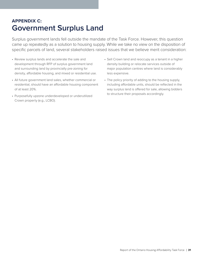## <span id="page-30-0"></span>**APPENDIX C: Government Surplus Land**

Surplus government lands fell outside the mandate of the Task Force. However, this question came up repeatedly as a solution to housing supply. While we take no view on the disposition of specific parcels of land, several stakeholders raised issues that we believe merit consideration:

- Review surplus lands and accelerate the sale and development through RFP of surplus government land and surrounding land by provincially pre-zoning for density, affordable housing, and mixed or residential use.
- All future government land sales, whether commercial or residential, should have an affordable housing component of at least 20%.
- Purposefully upzone underdeveloped or underutilized Crown property (e.g., LCBO).
- Sell Crown land and reoccupy as a tenant in a higher density building or relocate services outside of major population centres where land is considerably less expensive.
- The policy priority of adding to the housing supply, including affordable units, should be reflected in the way surplus land is offered for sale, allowing bidders to structure their proposals accordingly.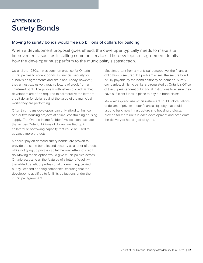## <span id="page-31-0"></span>**APPENDIX D: Surety Bonds**

### Moving to surety bonds would free up billions of dollars for building

When a development proposal goes ahead, the developer typically needs to make site improvements, such as installing common services. The development agreement details how the developer must perform to the municipality's satisfaction.

Up until the 1980s, it was common practice for Ontario municipalities to accept bonds as financial security for subdivision agreements and site plans. Today, however, they almost exclusively require letters of credit from a chartered bank. The problem with letters of credit is that developers are often required to collateralize the letter of credit dollar-for-dollar against the value of the municipal works they are performing.

Often this means developers can only afford to finance one or two housing projects at a time, constraining housing supply. The Ontario Home Builders' Association estimates that across Ontario, billions of dollars are tied up in collateral or borrowing capacity that could be used to advance more projects.

Modern "pay on demand surety bonds" are proven to provide the same benefits and security as a letter of credit, while not tying up private capital the way letters of credit do. Moving to this option would give municipalities across Ontario access to all the features of a letter of credit with the added benefit of professional underwriting, carried out by licensed bonding companies, ensuring that the developer is qualified to fulfill its obligations under the municipal agreement.

Most important from a municipal perspective, the financial obligation is secured. If a problem arises, the secure bond is fully payable by the bond company on demand. Surety companies, similar to banks, are regulated by Ontario's Office of the Superintendent of Financial Institutions to ensure they have sufficient funds in place to pay out bond claims.

More widespread use of this instrument could unlock billions of dollars of private sector financial liquidity that could be used to build new infrastructure and housing projects, provide for more units in each development and accelerate the delivery of housing of all types.